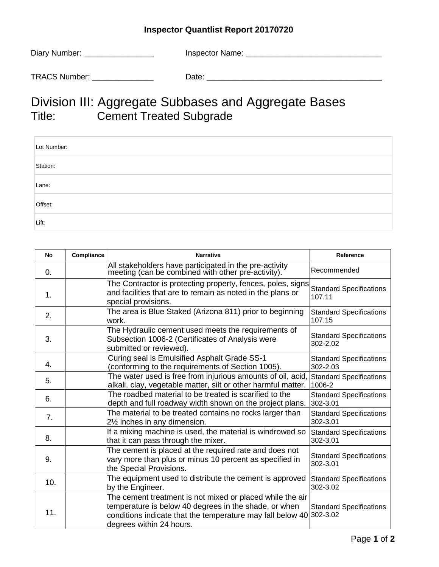## **Inspector Quantlist Report 20170720**

| Diary Number: | <b>Inspector Name:</b> |
|---------------|------------------------|
|               |                        |
| TRACS Number: | Date:                  |

## Division III: Aggregate Subbases and Aggregate Bases<br>Title: Cement Treated Subgrade Cement Treated Subgrade

| Lot Number: |  |
|-------------|--|
| Station:    |  |
| Lane:       |  |
| Offset:     |  |
| Lift:       |  |

| No  | Compliance | <b>Narrative</b>                                                                                                                                                                                                      | Reference                                  |
|-----|------------|-----------------------------------------------------------------------------------------------------------------------------------------------------------------------------------------------------------------------|--------------------------------------------|
| 0.  |            | All stakeholders have participated in the pre-activity<br>meeting (can be combined with other pre-activity).                                                                                                          | Recommended                                |
| 1.  |            | The Contractor is protecting property, fences, poles, signs<br>and facilities that are to remain as noted in the plans or<br>special provisions.                                                                      | <b>Standard Specifications</b><br>107.11   |
| 2.  |            | The area is Blue Staked (Arizona 811) prior to beginning<br>work.                                                                                                                                                     | <b>Standard Specifications</b><br>107.15   |
| 3.  |            | The Hydraulic cement used meets the requirements of<br>Subsection 1006-2 (Certificates of Analysis were<br>submitted or reviewed).                                                                                    | <b>Standard Specifications</b><br>302-2.02 |
| 4.  |            | Curing seal is Emulsified Asphalt Grade SS-1<br>(conforming to the requirements of Section 1005).                                                                                                                     | <b>Standard Specifications</b><br>302-2.03 |
| 5.  |            | The water used is free from injurious amounts of oil, acid,<br>alkali, clay, vegetable matter, silt or other harmful matter.                                                                                          | <b>Standard Specifications</b><br>1006-2   |
| 6.  |            | The roadbed material to be treated is scarified to the<br>depth and full roadway width shown on the project plans.                                                                                                    | <b>Standard Specifications</b><br>302-3.01 |
| 7.  |            | The material to be treated contains no rocks larger than<br>21/ <sub>2</sub> inches in any dimension.                                                                                                                 | <b>Standard Specifications</b><br>302-3.01 |
| 8.  |            | If a mixing machine is used, the material is windrowed so<br>that it can pass through the mixer.                                                                                                                      | <b>Standard Specifications</b><br>302-3.01 |
| 9.  |            | The cement is placed at the required rate and does not<br>vary more than plus or minus 10 percent as specified in<br>the Special Provisions.                                                                          | <b>Standard Specifications</b><br>302-3.01 |
| 10. |            | The equipment used to distribute the cement is approved<br>by the Engineer.                                                                                                                                           | <b>Standard Specifications</b><br>302-3.02 |
| 11. |            | The cement treatment is not mixed or placed while the air<br>temperature is below 40 degrees in the shade, or when<br>conditions indicate that the temperature may fall below 40 302-3.02<br>degrees within 24 hours. | <b>Standard Specifications</b>             |